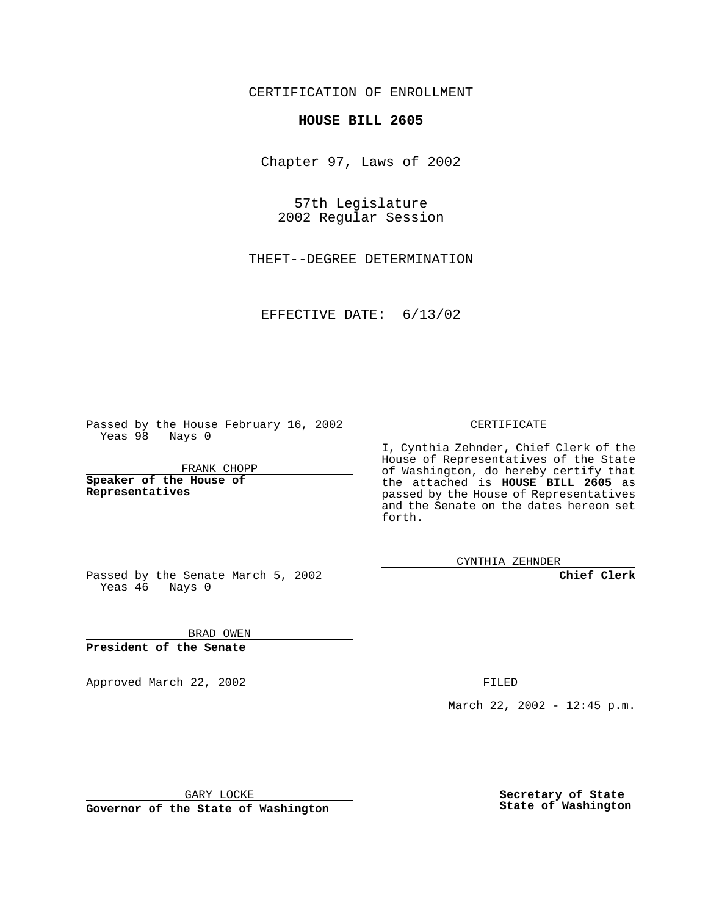CERTIFICATION OF ENROLLMENT

## **HOUSE BILL 2605**

Chapter 97, Laws of 2002

57th Legislature 2002 Regular Session

THEFT--DEGREE DETERMINATION

EFFECTIVE DATE: 6/13/02

Passed by the House February 16, 2002 Yeas 98 Nays 0

FRANK CHOPP

**Speaker of the House of Representatives**

CERTIFICATE

I, Cynthia Zehnder, Chief Clerk of the House of Representatives of the State of Washington, do hereby certify that the attached is **HOUSE BILL 2605** as passed by the House of Representatives and the Senate on the dates hereon set forth.

CYNTHIA ZEHNDER

**Chief Clerk**

Passed by the Senate March 5, 2002 Yeas 46 Nays 0

BRAD OWEN **President of the Senate**

Approved March 22, 2002 **FILED** 

March 22, 2002 - 12:45 p.m.

GARY LOCKE

**Governor of the State of Washington**

**Secretary of State State of Washington**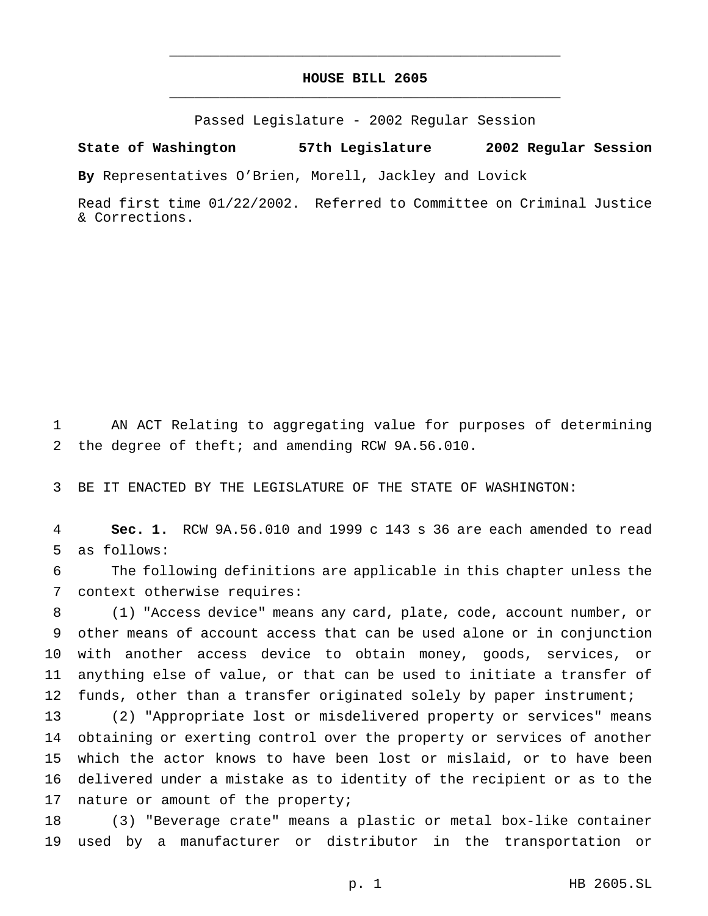## **HOUSE BILL 2605** \_\_\_\_\_\_\_\_\_\_\_\_\_\_\_\_\_\_\_\_\_\_\_\_\_\_\_\_\_\_\_\_\_\_\_\_\_\_\_\_\_\_\_\_\_\_\_

\_\_\_\_\_\_\_\_\_\_\_\_\_\_\_\_\_\_\_\_\_\_\_\_\_\_\_\_\_\_\_\_\_\_\_\_\_\_\_\_\_\_\_\_\_\_\_

Passed Legislature - 2002 Regular Session

## **State of Washington 57th Legislature 2002 Regular Session**

**By** Representatives O'Brien, Morell, Jackley and Lovick

Read first time 01/22/2002. Referred to Committee on Criminal Justice & Corrections.

 AN ACT Relating to aggregating value for purposes of determining the degree of theft; and amending RCW 9A.56.010.

BE IT ENACTED BY THE LEGISLATURE OF THE STATE OF WASHINGTON:

 **Sec. 1.** RCW 9A.56.010 and 1999 c 143 s 36 are each amended to read as follows:

 The following definitions are applicable in this chapter unless the context otherwise requires:

 (1) "Access device" means any card, plate, code, account number, or other means of account access that can be used alone or in conjunction with another access device to obtain money, goods, services, or anything else of value, or that can be used to initiate a transfer of 12 funds, other than a transfer originated solely by paper instrument;

 (2) "Appropriate lost or misdelivered property or services" means obtaining or exerting control over the property or services of another which the actor knows to have been lost or mislaid, or to have been delivered under a mistake as to identity of the recipient or as to the 17 nature or amount of the property;

 (3) "Beverage crate" means a plastic or metal box-like container used by a manufacturer or distributor in the transportation or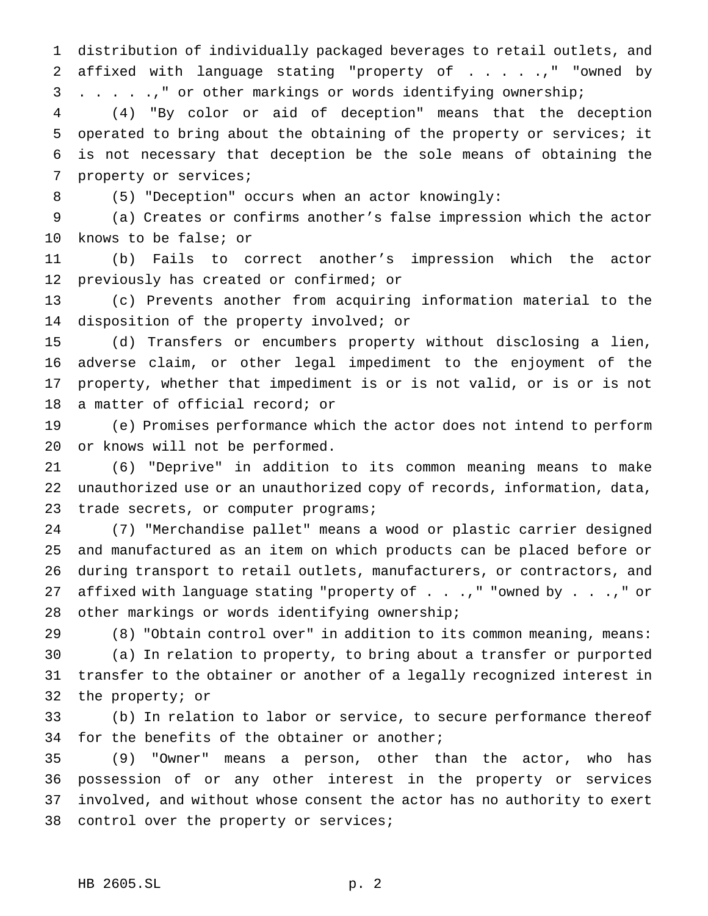distribution of individually packaged beverages to retail outlets, and 2 affixed with language stating "property of . . . . .," "owned by . . . . .," or other markings or words identifying ownership;

 (4) "By color or aid of deception" means that the deception operated to bring about the obtaining of the property or services; it is not necessary that deception be the sole means of obtaining the property or services;

(5) "Deception" occurs when an actor knowingly:

 (a) Creates or confirms another's false impression which the actor knows to be false; or

 (b) Fails to correct another's impression which the actor 12 previously has created or confirmed; or

 (c) Prevents another from acquiring information material to the disposition of the property involved; or

 (d) Transfers or encumbers property without disclosing a lien, adverse claim, or other legal impediment to the enjoyment of the property, whether that impediment is or is not valid, or is or is not a matter of official record; or

 (e) Promises performance which the actor does not intend to perform or knows will not be performed.

 (6) "Deprive" in addition to its common meaning means to make unauthorized use or an unauthorized copy of records, information, data, 23 trade secrets, or computer programs;

 (7) "Merchandise pallet" means a wood or plastic carrier designed and manufactured as an item on which products can be placed before or during transport to retail outlets, manufacturers, or contractors, and 27 affixed with language stating "property of . . .," "owned by . . .," or other markings or words identifying ownership;

 (8) "Obtain control over" in addition to its common meaning, means: (a) In relation to property, to bring about a transfer or purported transfer to the obtainer or another of a legally recognized interest in the property; or

 (b) In relation to labor or service, to secure performance thereof for the benefits of the obtainer or another;

 (9) "Owner" means a person, other than the actor, who has possession of or any other interest in the property or services involved, and without whose consent the actor has no authority to exert control over the property or services;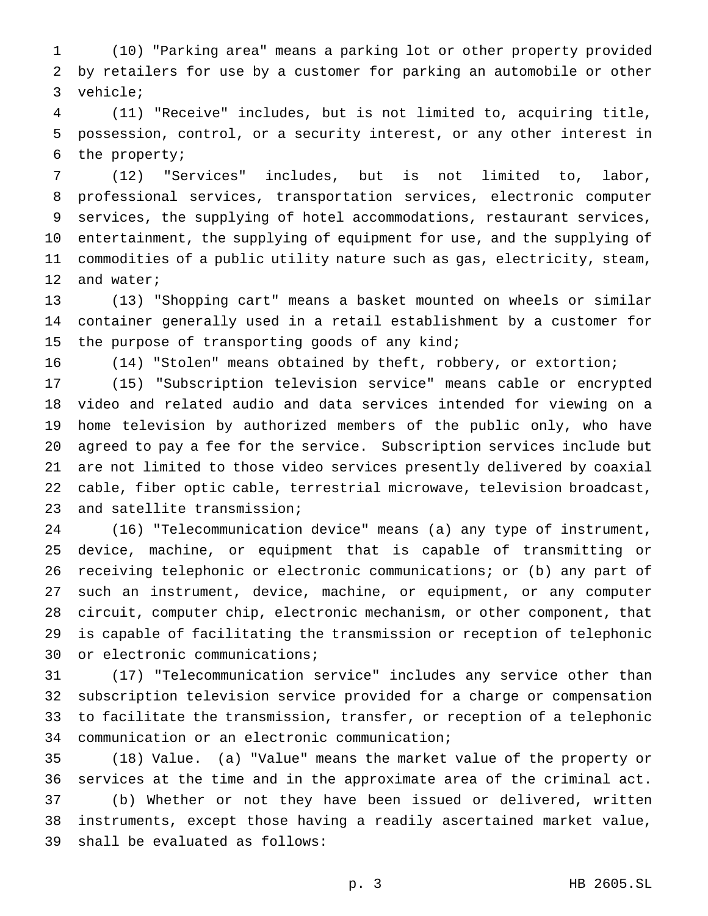(10) "Parking area" means a parking lot or other property provided by retailers for use by a customer for parking an automobile or other vehicle;

 (11) "Receive" includes, but is not limited to, acquiring title, possession, control, or a security interest, or any other interest in the property;

 (12) "Services" includes, but is not limited to, labor, professional services, transportation services, electronic computer services, the supplying of hotel accommodations, restaurant services, entertainment, the supplying of equipment for use, and the supplying of commodities of a public utility nature such as gas, electricity, steam, and water;

 (13) "Shopping cart" means a basket mounted on wheels or similar container generally used in a retail establishment by a customer for 15 the purpose of transporting goods of any kind;

(14) "Stolen" means obtained by theft, robbery, or extortion;

 (15) "Subscription television service" means cable or encrypted video and related audio and data services intended for viewing on a home television by authorized members of the public only, who have agreed to pay a fee for the service. Subscription services include but are not limited to those video services presently delivered by coaxial cable, fiber optic cable, terrestrial microwave, television broadcast, and satellite transmission;

 (16) "Telecommunication device" means (a) any type of instrument, device, machine, or equipment that is capable of transmitting or receiving telephonic or electronic communications; or (b) any part of such an instrument, device, machine, or equipment, or any computer circuit, computer chip, electronic mechanism, or other component, that is capable of facilitating the transmission or reception of telephonic or electronic communications;

 (17) "Telecommunication service" includes any service other than subscription television service provided for a charge or compensation to facilitate the transmission, transfer, or reception of a telephonic communication or an electronic communication;

 (18) Value. (a) "Value" means the market value of the property or services at the time and in the approximate area of the criminal act. (b) Whether or not they have been issued or delivered, written instruments, except those having a readily ascertained market value, shall be evaluated as follows: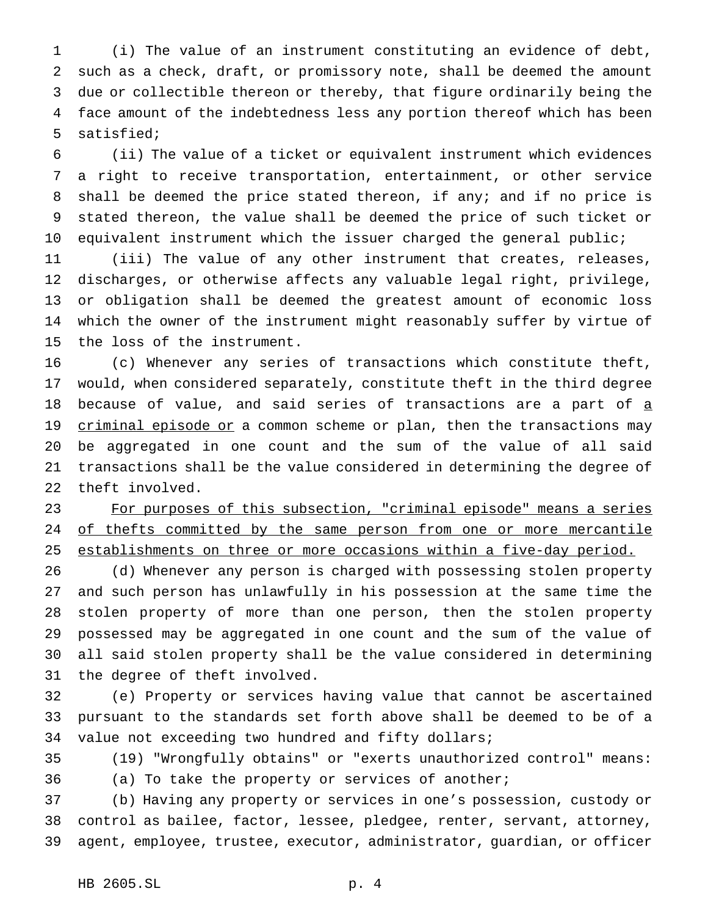(i) The value of an instrument constituting an evidence of debt, such as a check, draft, or promissory note, shall be deemed the amount due or collectible thereon or thereby, that figure ordinarily being the face amount of the indebtedness less any portion thereof which has been satisfied;

 (ii) The value of a ticket or equivalent instrument which evidences a right to receive transportation, entertainment, or other service shall be deemed the price stated thereon, if any; and if no price is stated thereon, the value shall be deemed the price of such ticket or equivalent instrument which the issuer charged the general public;

 (iii) The value of any other instrument that creates, releases, discharges, or otherwise affects any valuable legal right, privilege, or obligation shall be deemed the greatest amount of economic loss which the owner of the instrument might reasonably suffer by virtue of the loss of the instrument.

 (c) Whenever any series of transactions which constitute theft, would, when considered separately, constitute theft in the third degree 18 because of value, and said series of transactions are a part of a 19 criminal episode or a common scheme or plan, then the transactions may be aggregated in one count and the sum of the value of all said transactions shall be the value considered in determining the degree of theft involved.

 For purposes of this subsection, "criminal episode" means a series 24 of thefts committed by the same person from one or more mercantile establishments on three or more occasions within a five-day period.

 (d) Whenever any person is charged with possessing stolen property and such person has unlawfully in his possession at the same time the stolen property of more than one person, then the stolen property possessed may be aggregated in one count and the sum of the value of all said stolen property shall be the value considered in determining the degree of theft involved.

 (e) Property or services having value that cannot be ascertained pursuant to the standards set forth above shall be deemed to be of a value not exceeding two hundred and fifty dollars;

 (19) "Wrongfully obtains" or "exerts unauthorized control" means: (a) To take the property or services of another;

 (b) Having any property or services in one's possession, custody or control as bailee, factor, lessee, pledgee, renter, servant, attorney, agent, employee, trustee, executor, administrator, guardian, or officer